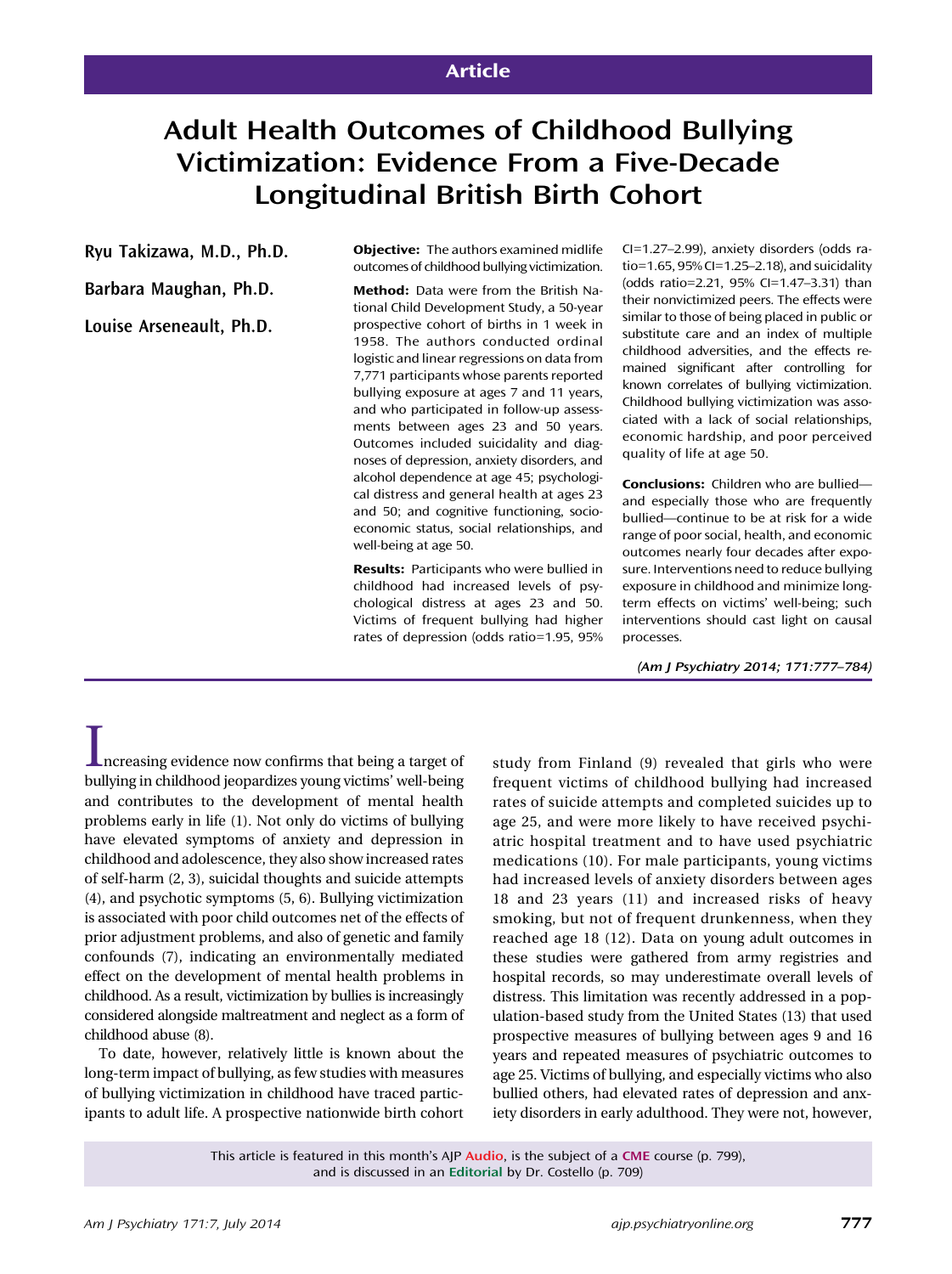# Adult Health Outcomes of Childhood Bullying Victimization: Evidence From a Five-Decade Longitudinal British Birth Cohort

Ryu Takizawa, M.D., Ph.D.

Barbara Maughan, Ph.D.

Louise Arseneault, Ph.D.

**Objective:** The authors examined midlife outcomes of childhood bullying victimization.

Method: Data were from the British National Child Development Study, a 50-year prospective cohort of births in 1 week in 1958. The authors conducted ordinal logistic and linear regressions on data from 7,771 participants whose parents reported bullying exposure at ages 7 and 11 years, and who participated in follow-up assessments between ages 23 and 50 years. Outcomes included suicidality and diagnoses of depression, anxiety disorders, and alcohol dependence at age 45; psychological distress and general health at ages 23 and 50; and cognitive functioning, socioeconomic status, social relationships, and well-being at age 50.

Results: Participants who were bullied in childhood had increased levels of psychological distress at ages 23 and 50. Victims of frequent bullying had higher rates of depression (odds ratio=1.95, 95%

CI=1.27–2.99), anxiety disorders (odds ratio=1.65, 95% CI=1.25–2.18), and suicidality (odds ratio=2.21, 95% CI=1.47–3.31) than their nonvictimized peers. The effects were similar to those of being placed in public or substitute care and an index of multiple childhood adversities, and the effects remained significant after controlling for known correlates of bullying victimization. Childhood bullying victimization was associated with a lack of social relationships, economic hardship, and poor perceived quality of life at age 50.

Conclusions: Children who are bullied and especially those who are frequently bullied—continue to be at risk for a wide range of poor social, health, and economic outcomes nearly four decades after exposure. Interventions need to reduce bullying exposure in childhood and minimize longterm effects on victims' well-being; such interventions should cast light on causal processes.

(Am J Psychiatry 2014; 171:777–784)

Increasing evidence now confirms that being a target of bullying in childhood jeopardizes young victims' well-being and contributes to the development of mental health problems early in life (1). Not only do victims of bullying have elevated symptoms of anxiety and depression in childhood and adolescence, they also show increased rates of self-harm (2, 3), suicidal thoughts and suicide attempts (4), and psychotic symptoms (5, 6). Bullying victimization is associated with poor child outcomes net of the effects of prior adjustment problems, and also of genetic and family confounds (7), indicating an environmentally mediated effect on the development of mental health problems in childhood. As a result, victimization by bullies is increasingly considered alongside maltreatment and neglect as a form of childhood abuse (8).

To date, however, relatively little is known about the long-term impact of bullying, as few studies with measures of bullying victimization in childhood have traced participants to adult life. A prospective nationwide birth cohort study from Finland (9) revealed that girls who were frequent victims of childhood bullying had increased rates of suicide attempts and completed suicides up to age 25, and were more likely to have received psychiatric hospital treatment and to have used psychiatric medications (10). For male participants, young victims had increased levels of anxiety disorders between ages 18 and 23 years (11) and increased risks of heavy smoking, but not of frequent drunkenness, when they reached age 18 (12). Data on young adult outcomes in these studies were gathered from army registries and hospital records, so may underestimate overall levels of distress. This limitation was recently addressed in a population-based study from the United States (13) that used prospective measures of bullying between ages 9 and 16 years and repeated measures of psychiatric outcomes to age 25. Victims of bullying, and especially victims who also bullied others, had elevated rates of depression and anxiety disorders in early adulthood. They were not, however,

This article is featured in this month's AJP **Audio**, is the subject of a CME course (p. 799), and is discussed in an Editorial by Dr. Costello (p. 709)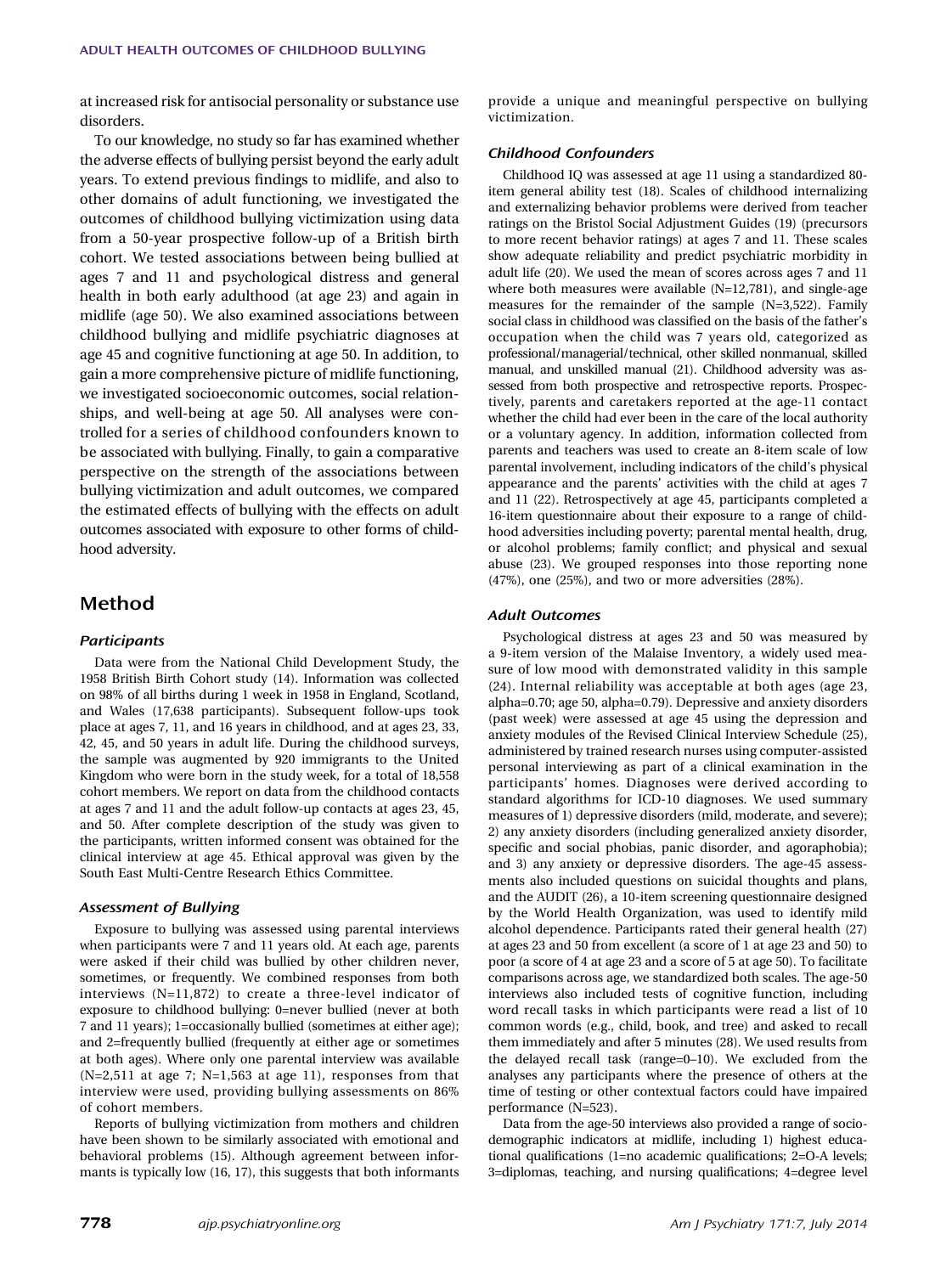at increased risk for antisocial personality or substance use disorders.

To our knowledge, no study so far has examined whether the adverse effects of bullying persist beyond the early adult years. To extend previous findings to midlife, and also to other domains of adult functioning, we investigated the outcomes of childhood bullying victimization using data from a 50-year prospective follow-up of a British birth cohort. We tested associations between being bullied at ages 7 and 11 and psychological distress and general health in both early adulthood (at age 23) and again in midlife (age 50). We also examined associations between childhood bullying and midlife psychiatric diagnoses at age 45 and cognitive functioning at age 50. In addition, to gain a more comprehensive picture of midlife functioning, we investigated socioeconomic outcomes, social relationships, and well-being at age 50. All analyses were controlled for a series of childhood confounders known to be associated with bullying. Finally, to gain a comparative perspective on the strength of the associations between bullying victimization and adult outcomes, we compared the estimated effects of bullying with the effects on adult outcomes associated with exposure to other forms of childhood adversity.

# Method

## **Participants**

Data were from the National Child Development Study, the 1958 British Birth Cohort study (14). Information was collected on 98% of all births during 1 week in 1958 in England, Scotland, and Wales (17,638 participants). Subsequent follow-ups took place at ages 7, 11, and 16 years in childhood, and at ages 23, 33, 42, 45, and 50 years in adult life. During the childhood surveys, the sample was augmented by 920 immigrants to the United Kingdom who were born in the study week, for a total of 18,558 cohort members. We report on data from the childhood contacts at ages 7 and 11 and the adult follow-up contacts at ages 23, 45, and 50. After complete description of the study was given to the participants, written informed consent was obtained for the clinical interview at age 45. Ethical approval was given by the South East Multi-Centre Research Ethics Committee.

#### Assessment of Bullying

Exposure to bullying was assessed using parental interviews when participants were 7 and 11 years old. At each age, parents were asked if their child was bullied by other children never, sometimes, or frequently. We combined responses from both interviews (N=11,872) to create a three-level indicator of exposure to childhood bullying: 0=never bullied (never at both 7 and 11 years); 1=occasionally bullied (sometimes at either age); and 2=frequently bullied (frequently at either age or sometimes at both ages). Where only one parental interview was available (N=2,511 at age 7; N=1,563 at age 11), responses from that interview were used, providing bullying assessments on 86% of cohort members.

Reports of bullying victimization from mothers and children have been shown to be similarly associated with emotional and behavioral problems (15). Although agreement between informants is typically low (16, 17), this suggests that both informants

provide a unique and meaningful perspective on bullying victimization.

## Childhood Confounders

Childhood IQ was assessed at age 11 using a standardized 80 item general ability test (18). Scales of childhood internalizing and externalizing behavior problems were derived from teacher ratings on the Bristol Social Adjustment Guides (19) (precursors to more recent behavior ratings) at ages 7 and 11. These scales show adequate reliability and predict psychiatric morbidity in adult life (20). We used the mean of scores across ages 7 and 11 where both measures were available (N=12,781), and single-age measures for the remainder of the sample (N=3,522). Family social class in childhood was classified on the basis of the father's occupation when the child was 7 years old, categorized as professional/managerial/technical, other skilled nonmanual, skilled manual, and unskilled manual (21). Childhood adversity was assessed from both prospective and retrospective reports. Prospectively, parents and caretakers reported at the age-11 contact whether the child had ever been in the care of the local authority or a voluntary agency. In addition, information collected from parents and teachers was used to create an 8-item scale of low parental involvement, including indicators of the child's physical appearance and the parents' activities with the child at ages 7 and 11 (22). Retrospectively at age 45, participants completed a 16-item questionnaire about their exposure to a range of childhood adversities including poverty; parental mental health, drug, or alcohol problems; family conflict; and physical and sexual abuse (23). We grouped responses into those reporting none (47%), one (25%), and two or more adversities (28%).

## Adult Outcomes

Psychological distress at ages 23 and 50 was measured by a 9-item version of the Malaise Inventory, a widely used measure of low mood with demonstrated validity in this sample (24). Internal reliability was acceptable at both ages (age 23, alpha=0.70; age 50, alpha=0.79). Depressive and anxiety disorders (past week) were assessed at age 45 using the depression and anxiety modules of the Revised Clinical Interview Schedule (25), administered by trained research nurses using computer-assisted personal interviewing as part of a clinical examination in the participants' homes. Diagnoses were derived according to standard algorithms for ICD-10 diagnoses. We used summary measures of 1) depressive disorders (mild, moderate, and severe); 2) any anxiety disorders (including generalized anxiety disorder, specific and social phobias, panic disorder, and agoraphobia); and 3) any anxiety or depressive disorders. The age-45 assessments also included questions on suicidal thoughts and plans, and the AUDIT (26), a 10-item screening questionnaire designed by the World Health Organization, was used to identify mild alcohol dependence. Participants rated their general health (27) at ages 23 and 50 from excellent (a score of 1 at age 23 and 50) to poor (a score of 4 at age 23 and a score of 5 at age 50). To facilitate comparisons across age, we standardized both scales. The age-50 interviews also included tests of cognitive function, including word recall tasks in which participants were read a list of 10 common words (e.g., child, book, and tree) and asked to recall them immediately and after 5 minutes (28). We used results from the delayed recall task (range=0–10). We excluded from the analyses any participants where the presence of others at the time of testing or other contextual factors could have impaired performance (N=523).

Data from the age-50 interviews also provided a range of sociodemographic indicators at midlife, including 1) highest educational qualifications (1=no academic qualifications; 2=O-A levels; 3=diplomas, teaching, and nursing qualifications; 4=degree level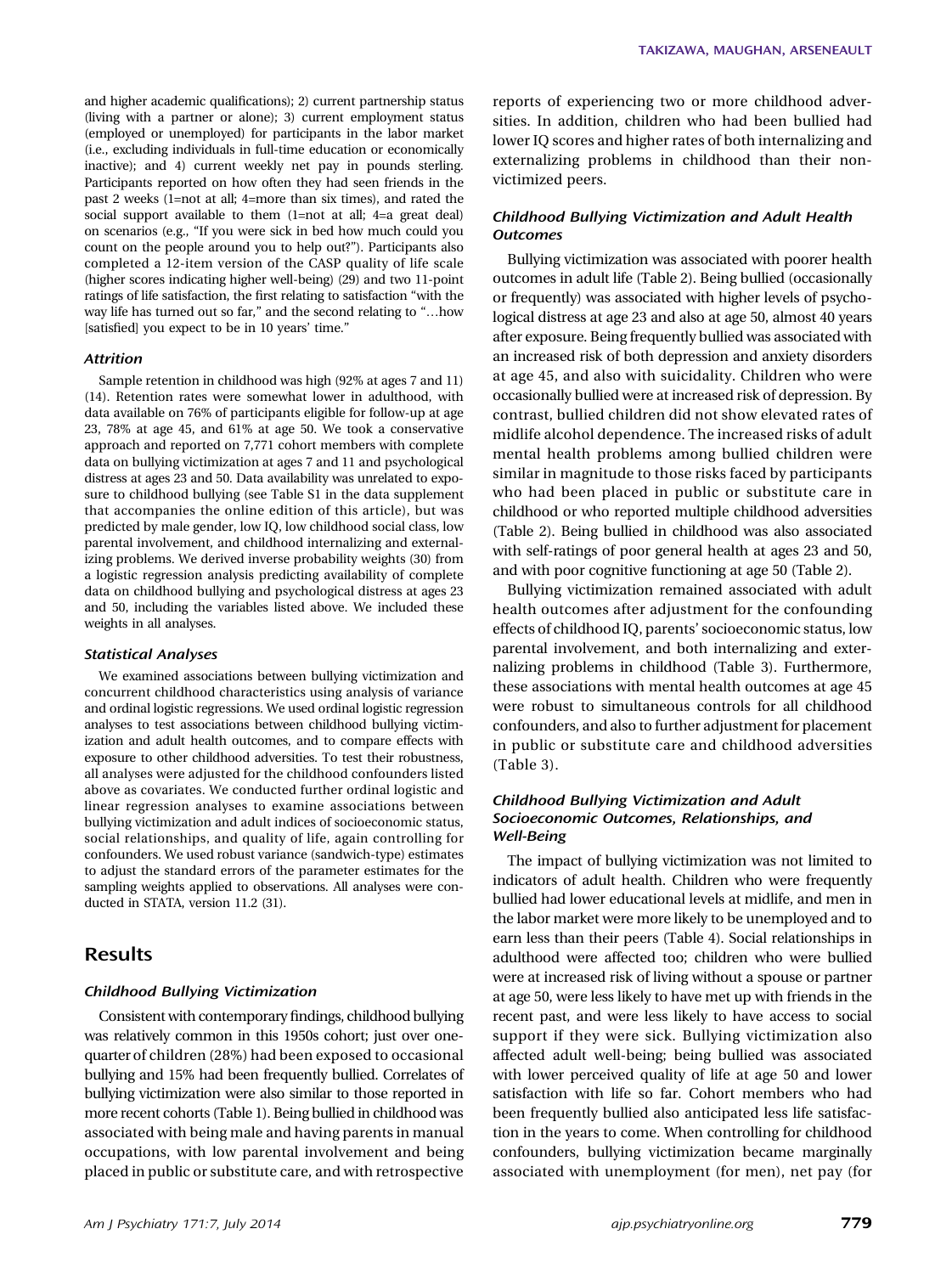and higher academic qualifications); 2) current partnership status (living with a partner or alone); 3) current employment status (employed or unemployed) for participants in the labor market (i.e., excluding individuals in full-time education or economically inactive); and 4) current weekly net pay in pounds sterling. Participants reported on how often they had seen friends in the past 2 weeks (1=not at all; 4=more than six times), and rated the social support available to them (1=not at all; 4=a great deal) on scenarios (e.g., "If you were sick in bed how much could you count on the people around you to help out?"). Participants also completed a 12-item version of the CASP quality of life scale (higher scores indicating higher well-being) (29) and two 11-point ratings of life satisfaction, the first relating to satisfaction "with the way life has turned out so far," and the second relating to "…how [satisfied] you expect to be in 10 years' time."

#### Attrition

Sample retention in childhood was high (92% at ages 7 and 11) (14). Retention rates were somewhat lower in adulthood, with data available on 76% of participants eligible for follow-up at age 23, 78% at age 45, and 61% at age 50. We took a conservative approach and reported on 7,771 cohort members with complete data on bullying victimization at ages 7 and 11 and psychological distress at ages 23 and 50. Data availability was unrelated to exposure to childhood bullying (see Table S1 in the data supplement that accompanies the online edition of this article), but was predicted by male gender, low IQ, low childhood social class, low parental involvement, and childhood internalizing and externalizing problems. We derived inverse probability weights (30) from a logistic regression analysis predicting availability of complete data on childhood bullying and psychological distress at ages 23 and 50, including the variables listed above. We included these weights in all analyses.

#### Statistical Analyses

We examined associations between bullying victimization and concurrent childhood characteristics using analysis of variance and ordinal logistic regressions. We used ordinal logistic regression analyses to test associations between childhood bullying victimization and adult health outcomes, and to compare effects with exposure to other childhood adversities. To test their robustness, all analyses were adjusted for the childhood confounders listed above as covariates. We conducted further ordinal logistic and linear regression analyses to examine associations between bullying victimization and adult indices of socioeconomic status, social relationships, and quality of life, again controlling for confounders. We used robust variance (sandwich-type) estimates to adjust the standard errors of the parameter estimates for the sampling weights applied to observations. All analyses were conducted in STATA, version 11.2 (31).

# Results

## Childhood Bullying Victimization

Consistent with contemporary findings, childhood bullying was relatively common in this 1950s cohort; just over onequarter of children (28%) had been exposed to occasional bullying and 15% had been frequently bullied. Correlates of bullying victimization were also similar to those reported in more recent cohorts (Table 1). Being bullied in childhood was associated with being male and having parents in manual occupations, with low parental involvement and being placed in public or substitute care, and with retrospective

reports of experiencing two or more childhood adversities. In addition, children who had been bullied had lower IQ scores and higher rates of both internalizing and externalizing problems in childhood than their nonvictimized peers.

## Childhood Bullying Victimization and Adult Health **Outcomes**

Bullying victimization was associated with poorer health outcomes in adult life (Table 2). Being bullied (occasionally or frequently) was associated with higher levels of psychological distress at age 23 and also at age 50, almost 40 years after exposure. Being frequently bullied was associated with an increased risk of both depression and anxiety disorders at age 45, and also with suicidality. Children who were occasionally bullied were at increased risk of depression. By contrast, bullied children did not show elevated rates of midlife alcohol dependence. The increased risks of adult mental health problems among bullied children were similar in magnitude to those risks faced by participants who had been placed in public or substitute care in childhood or who reported multiple childhood adversities (Table 2). Being bullied in childhood was also associated with self-ratings of poor general health at ages 23 and 50, and with poor cognitive functioning at age 50 (Table 2).

Bullying victimization remained associated with adult health outcomes after adjustment for the confounding effects of childhood IQ, parents' socioeconomic status, low parental involvement, and both internalizing and externalizing problems in childhood (Table 3). Furthermore, these associations with mental health outcomes at age 45 were robust to simultaneous controls for all childhood confounders, and also to further adjustment for placement in public or substitute care and childhood adversities (Table 3).

## Childhood Bullying Victimization and Adult Socioeconomic Outcomes, Relationships, and Well-Being

The impact of bullying victimization was not limited to indicators of adult health. Children who were frequently bullied had lower educational levels at midlife, and men in the labor market were more likely to be unemployed and to earn less than their peers (Table 4). Social relationships in adulthood were affected too; children who were bullied were at increased risk of living without a spouse or partner at age 50, were less likely to have met up with friends in the recent past, and were less likely to have access to social support if they were sick. Bullying victimization also affected adult well-being; being bullied was associated with lower perceived quality of life at age 50 and lower satisfaction with life so far. Cohort members who had been frequently bullied also anticipated less life satisfaction in the years to come. When controlling for childhood confounders, bullying victimization became marginally associated with unemployment (for men), net pay (for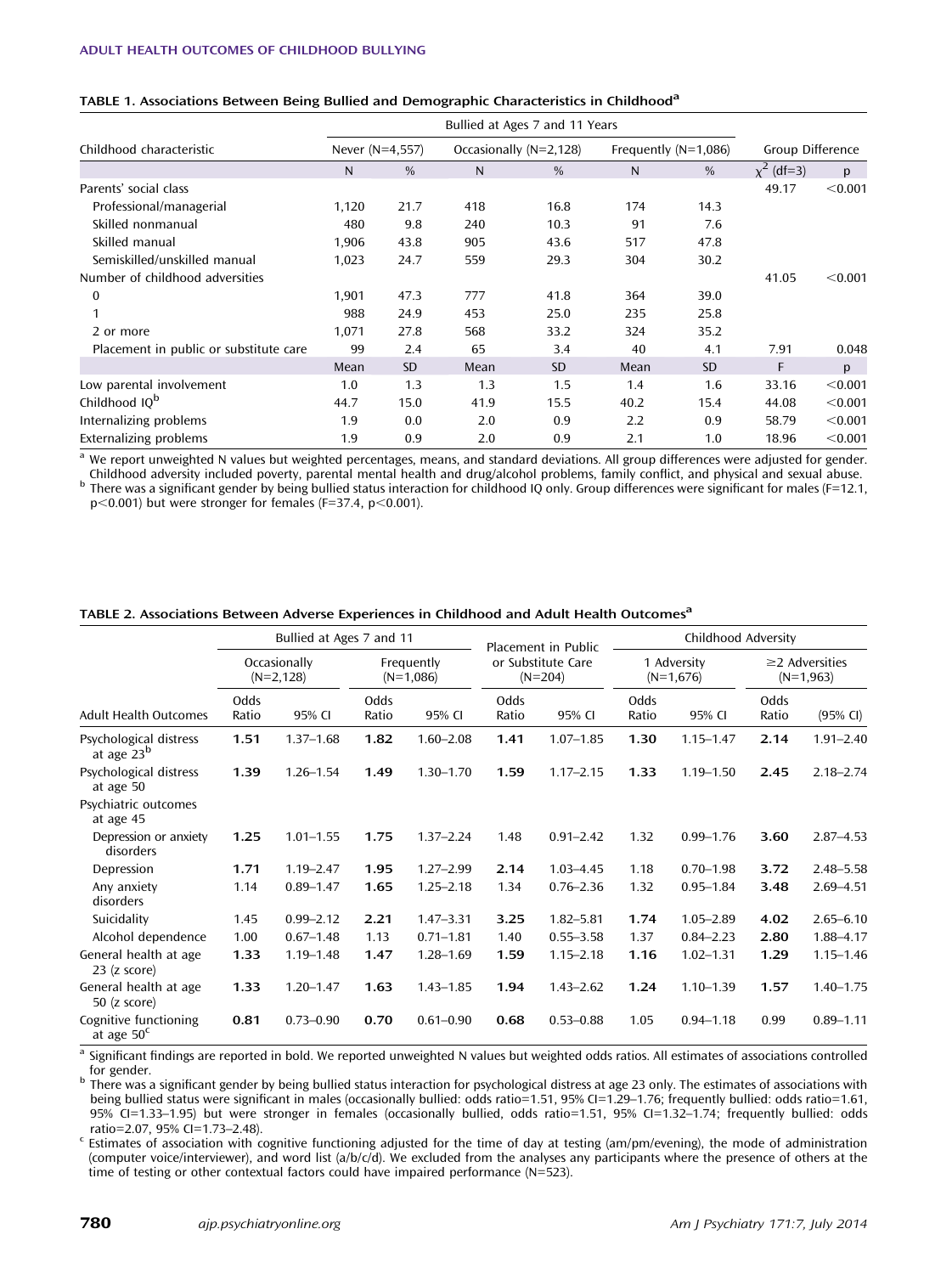|  |  |  | TABLE 1. Associations Between Being Bullied and Demographic Characteristics in Childhood <sup>a</sup> |  |
|--|--|--|-------------------------------------------------------------------------------------------------------|--|
|  |  |  |                                                                                                       |  |

| Childhood characteristic               | Never (N=4,557) |               | Occasionally (N=2,128) |           | Frequently $(N=1,086)$ |           | Group Difference |         |
|----------------------------------------|-----------------|---------------|------------------------|-----------|------------------------|-----------|------------------|---------|
|                                        | N               | $\frac{0}{0}$ | N                      | $\%$      | N                      | %         | $\chi^2$ (df=3)  | p       |
| Parents' social class                  |                 |               |                        |           |                        |           | 49.17            | < 0.001 |
| Professional/managerial                | 1,120           | 21.7          | 418                    | 16.8      | 174                    | 14.3      |                  |         |
| Skilled nonmanual                      | 480             | 9.8           | 240                    | 10.3      | 91                     | 7.6       |                  |         |
| Skilled manual                         | 1,906           | 43.8          | 905                    | 43.6      | 517                    | 47.8      |                  |         |
| Semiskilled/unskilled manual           | 1,023           | 24.7          | 559                    | 29.3      | 304                    | 30.2      |                  |         |
| Number of childhood adversities        |                 |               |                        |           |                        |           | 41.05            | < 0.001 |
| 0                                      | 1,901           | 47.3          | 777                    | 41.8      | 364                    | 39.0      |                  |         |
|                                        | 988             | 24.9          | 453                    | 25.0      | 235                    | 25.8      |                  |         |
| 2 or more                              | 1,071           | 27.8          | 568                    | 33.2      | 324                    | 35.2      |                  |         |
| Placement in public or substitute care | 99              | 2.4           | 65                     | 3.4       | 40                     | 4.1       | 7.91             | 0.048   |
|                                        | Mean            | SD.           | Mean                   | <b>SD</b> | Mean                   | <b>SD</b> | F                | p       |
| Low parental involvement               | 1.0             | 1.3           | 1.3                    | 1.5       | 1.4                    | 1.6       | 33.16            | < 0.001 |
| Childhood IO <sup>b</sup>              | 44.7            | 15.0          | 41.9                   | 15.5      | 40.2                   | 15.4      | 44.08            | < 0.001 |
| Internalizing problems                 | 1.9             | 0.0           | 2.0                    | 0.9       | 2.2                    | 0.9       | 58.79            | < 0.001 |
| Externalizing problems                 | 1.9             | 0.9           | 2.0                    | 0.9       | 2.1                    | 1.0       | 18.96            | < 0.001 |

<sup>a</sup> We report unweighted N values but weighted percentages, means, and standard deviations. All group differences were adjusted for gender.<br>Childhood adversity included poverty, parental mental health and drug/alcohol prob

<sup>b</sup> There was a significant gender by being bullied status interaction for childhood IQ only. Group differences were significant for males (F=12.1,  $p$ <0.001) but were stronger for females (F=37.4,  $p$ <0.001).

## TABLE 2. Associations Between Adverse Experiences in Childhood and Adult Health Outcomes<sup>a</sup>

|                                                  | Bullied at Ages 7 and 11     |               |                           |               | Placement in Public             | Childhood Adversity |                            |               |                                     |                    |
|--------------------------------------------------|------------------------------|---------------|---------------------------|---------------|---------------------------------|---------------------|----------------------------|---------------|-------------------------------------|--------------------|
|                                                  | Occasionally<br>$(N=2, 128)$ |               | Frequently<br>$(N=1,086)$ |               | or Substitute Care<br>$(N=204)$ |                     | 1 Adversity<br>$(N=1,676)$ |               | $\geq$ 2 Adversities<br>$(N=1,963)$ |                    |
| <b>Adult Health Outcomes</b>                     | Odds<br>Ratio                | 95% CI        | Odds<br>Ratio             | 95% CI        | Odds<br>Ratio                   | 95% CI              | Odds<br>Ratio              | 95% CI        | Odds<br>Ratio                       | $(95% \text{ Cl})$ |
| Psychological distress<br>at age 23 <sup>b</sup> | 1.51                         | $1.37 - 1.68$ | 1.82                      | $1.60 - 2.08$ | 1.41                            | $1.07 - 1.85$       | 1.30                       | $1.15 - 1.47$ | 2.14                                | $1.91 - 2.40$      |
| Psychological distress<br>at age 50              | 1.39                         | $1.26 - 1.54$ | 1.49                      | $1.30 - 1.70$ | 1.59                            | $1.17 - 2.15$       | 1.33                       | $1.19 - 1.50$ | 2.45                                | $2.18 - 2.74$      |
| Psychiatric outcomes<br>at age 45                |                              |               |                           |               |                                 |                     |                            |               |                                     |                    |
| Depression or anxiety<br>disorders               | 1.25                         | $1.01 - 1.55$ | 1.75                      | $1.37 - 2.24$ | 1.48                            | $0.91 - 2.42$       | 1.32                       | $0.99 - 1.76$ | 3.60                                | $2.87 - 4.53$      |
| Depression                                       | 1.71                         | $1.19 - 2.47$ | 1.95                      | $1.27 - 2.99$ | 2.14                            | $1.03 - 4.45$       | 1.18                       | $0.70 - 1.98$ | 3.72                                | $2.48 - 5.58$      |
| Any anxiety<br>disorders                         | 1.14                         | $0.89 - 1.47$ | 1.65                      | $1.25 - 2.18$ | 1.34                            | $0.76 - 2.36$       | 1.32                       | $0.95 - 1.84$ | 3.48                                | $2.69 - 4.51$      |
| Suicidality                                      | 1.45                         | $0.99 - 2.12$ | 2.21                      | $1.47 - 3.31$ | 3.25                            | $1.82 - 5.81$       | 1.74                       | $1.05 - 2.89$ | 4.02                                | $2.65 - 6.10$      |
| Alcohol dependence                               | 1.00                         | $0.67 - 1.48$ | 1.13                      | $0.71 - 1.81$ | 1.40                            | $0.55 - 3.58$       | 1.37                       | $0.84 - 2.23$ | 2.80                                | 1.88-4.17          |
| General health at age<br>$23$ (z score)          | 1.33                         | $1.19 - 1.48$ | 1.47                      | $1.28 - 1.69$ | 1.59                            | $1.15 - 2.18$       | 1.16                       | $1.02 - 1.31$ | 1.29                                | $1.15 - 1.46$      |
| General health at age<br>$50$ (z score)          | 1.33                         | $1.20 - 1.47$ | 1.63                      | $1.43 - 1.85$ | 1.94                            | $1.43 - 2.62$       | 1.24                       | $1.10 - 1.39$ | 1.57                                | $1.40 - 1.75$      |
| Cognitive functioning<br>at age 50 <sup>c</sup>  | 0.81                         | $0.73 - 0.90$ | 0.70                      | $0.61 - 0.90$ | 0.68                            | $0.53 - 0.88$       | 1.05                       | $0.94 - 1.18$ | 0.99                                | $0.89 - 1.11$      |

<sup>a</sup> Significant findings are reported in bold. We reported unweighted N values but weighted odds ratios. All estimates of associations controlled

for gender.<br><sup>b</sup> There was a significant gender by being bullied status interaction for psychological distress at age 23 only. The estimates of associations with being bullied status were significant in males (occasionally bullied: odds ratio=1.51, 95% CI=1.29-1.76; frequently bullied: odds ratio=1.61, 95% CI=1.33–1.95) but were stronger in females (occasionally bullied, odds ratio=1.51, 95% CI=1.32–1.74; frequently bullied: odds ratio=2.07, 95% CI=1.73–2.48).<br><sup>c</sup> Estimates of association with cognitive functioning adjusted for the time of day at testing (am/pm/evening), the mode of administration

(computer voice/interviewer), and word list (a/b/c/d). We excluded from the analyses any participants where the presence of others at the time of testing or other contextual factors could have impaired performance (N=523).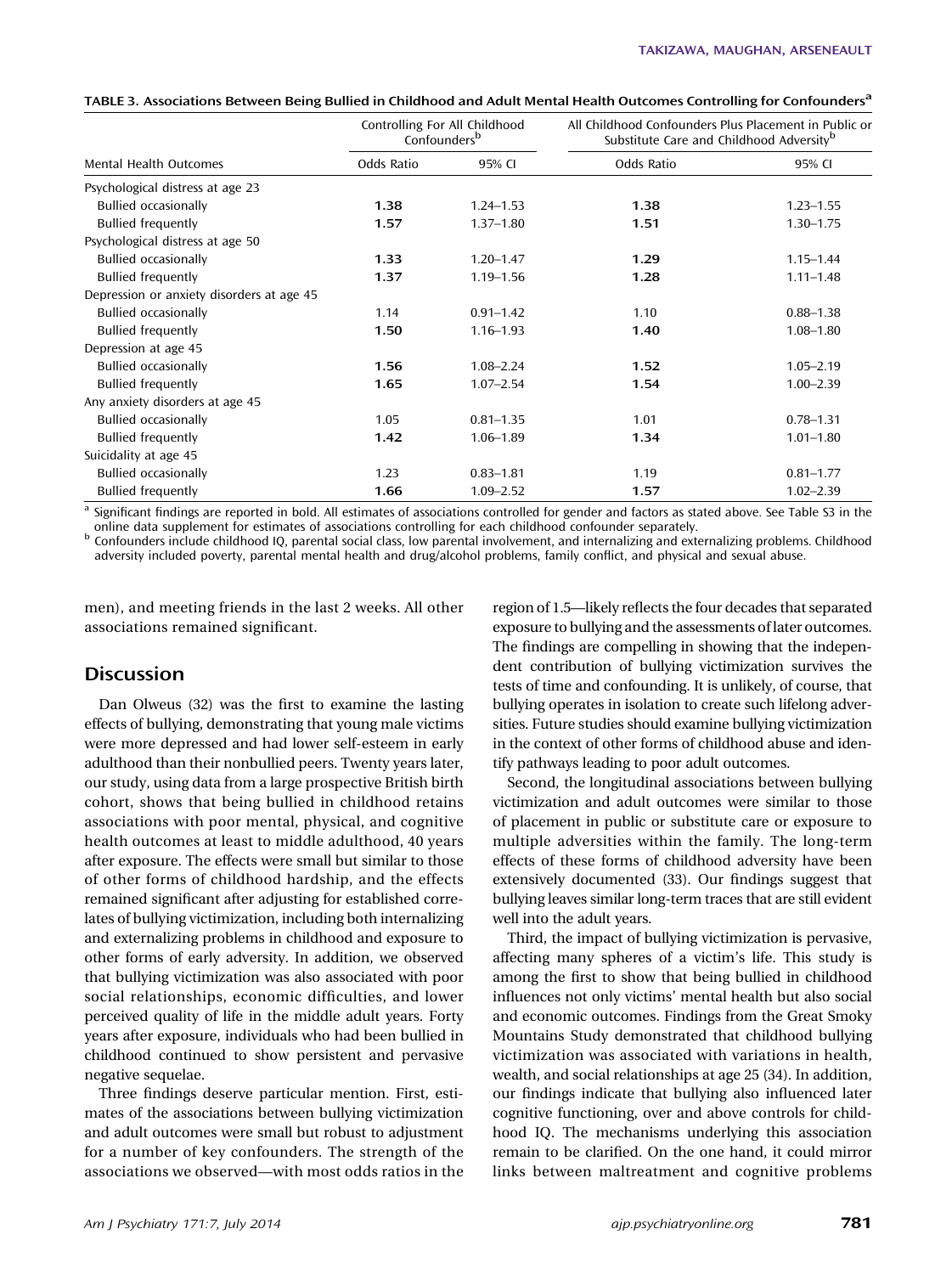|  | TABLE 3. Associations Between Being Bullied in Childhood and Adult Mental Health Outcomes Controlling for Confounders <sup>a</sup> |  |  |
|--|------------------------------------------------------------------------------------------------------------------------------------|--|--|
|--|------------------------------------------------------------------------------------------------------------------------------------|--|--|

|                                           | Confounders <sup>b</sup> | Controlling For All Childhood |            | All Childhood Confounders Plus Placement in Public or<br>Substitute Care and Childhood Adversity <sup>b</sup> |  |
|-------------------------------------------|--------------------------|-------------------------------|------------|---------------------------------------------------------------------------------------------------------------|--|
| Mental Health Outcomes                    | Odds Ratio               | 95% CI                        | Odds Ratio | 95% CI                                                                                                        |  |
| Psychological distress at age 23          |                          |                               |            |                                                                                                               |  |
| <b>Bullied occasionally</b>               | 1.38                     | $1.24 - 1.53$                 | 1.38       | $1.23 - 1.55$                                                                                                 |  |
| <b>Bullied frequently</b>                 | 1.57                     | $1.37 - 1.80$                 | 1.51       | $1.30 - 1.75$                                                                                                 |  |
| Psychological distress at age 50          |                          |                               |            |                                                                                                               |  |
| <b>Bullied occasionally</b>               | 1.33                     | $1.20 - 1.47$                 | 1.29       | $1.15 - 1.44$                                                                                                 |  |
| <b>Bullied frequently</b>                 | 1.37                     | $1.19 - 1.56$                 | 1.28       | $1.11 - 1.48$                                                                                                 |  |
| Depression or anxiety disorders at age 45 |                          |                               |            |                                                                                                               |  |
| <b>Bullied occasionally</b>               | 1.14                     | $0.91 - 1.42$                 | 1.10       | $0.88 - 1.38$                                                                                                 |  |
| <b>Bullied frequently</b>                 | 1.50                     | $1.16 - 1.93$                 | 1.40       | $1.08 - 1.80$                                                                                                 |  |
| Depression at age 45                      |                          |                               |            |                                                                                                               |  |
| <b>Bullied occasionally</b>               | 1.56                     | $1.08 - 2.24$                 | 1.52       | $1.05 - 2.19$                                                                                                 |  |
| <b>Bullied frequently</b>                 | 1.65                     | $1.07 - 2.54$                 | 1.54       | $1.00 - 2.39$                                                                                                 |  |
| Any anxiety disorders at age 45           |                          |                               |            |                                                                                                               |  |
| <b>Bullied occasionally</b>               | 1.05                     | $0.81 - 1.35$                 | 1.01       | $0.78 - 1.31$                                                                                                 |  |
| <b>Bullied frequently</b>                 | 1.42                     | $1.06 - 1.89$                 | 1.34       | $1.01 - 1.80$                                                                                                 |  |
| Suicidality at age 45                     |                          |                               |            |                                                                                                               |  |
| <b>Bullied occasionally</b>               | 1.23                     | $0.83 - 1.81$                 | 1.19       | $0.81 - 1.77$                                                                                                 |  |
| <b>Bullied frequently</b>                 | 1.66                     | $1.09 - 2.52$                 | 1.57       | $1.02 - 2.39$                                                                                                 |  |

<sup>a</sup> Significant findings are reported in bold. All estimates of associations controlled for gender and factors as stated above. See Table S3 in the

online data supplement for estimates of associations controlling for each childhood confounder separately.<br><sup>b</sup> Confounders include childhood IQ, parental social class, low parental involvement, and internalizing and exter adversity included poverty, parental mental health and drug/alcohol problems, family conflict, and physical and sexual abuse.

men), and meeting friends in the last 2 weeks. All other associations remained significant.

# **Discussion**

Dan Olweus (32) was the first to examine the lasting effects of bullying, demonstrating that young male victims were more depressed and had lower self-esteem in early adulthood than their nonbullied peers. Twenty years later, our study, using data from a large prospective British birth cohort, shows that being bullied in childhood retains associations with poor mental, physical, and cognitive health outcomes at least to middle adulthood, 40 years after exposure. The effects were small but similar to those of other forms of childhood hardship, and the effects remained significant after adjusting for established correlates of bullying victimization, including both internalizing and externalizing problems in childhood and exposure to other forms of early adversity. In addition, we observed that bullying victimization was also associated with poor social relationships, economic difficulties, and lower perceived quality of life in the middle adult years. Forty years after exposure, individuals who had been bullied in childhood continued to show persistent and pervasive negative sequelae.

Three findings deserve particular mention. First, estimates of the associations between bullying victimization and adult outcomes were small but robust to adjustment for a number of key confounders. The strength of the associations we observed—with most odds ratios in the region of 1.5—likely reflects the four decades that separated exposure to bullying and the assessments of later outcomes. The findings are compelling in showing that the independent contribution of bullying victimization survives the tests of time and confounding. It is unlikely, of course, that bullying operates in isolation to create such lifelong adversities. Future studies should examine bullying victimization in the context of other forms of childhood abuse and identify pathways leading to poor adult outcomes.

Second, the longitudinal associations between bullying victimization and adult outcomes were similar to those of placement in public or substitute care or exposure to multiple adversities within the family. The long-term effects of these forms of childhood adversity have been extensively documented (33). Our findings suggest that bullying leaves similar long-term traces that are still evident well into the adult years.

Third, the impact of bullying victimization is pervasive, affecting many spheres of a victim's life. This study is among the first to show that being bullied in childhood influences not only victims' mental health but also social and economic outcomes. Findings from the Great Smoky Mountains Study demonstrated that childhood bullying victimization was associated with variations in health, wealth, and social relationships at age 25 (34). In addition, our findings indicate that bullying also influenced later cognitive functioning, over and above controls for childhood IQ. The mechanisms underlying this association remain to be clarified. On the one hand, it could mirror links between maltreatment and cognitive problems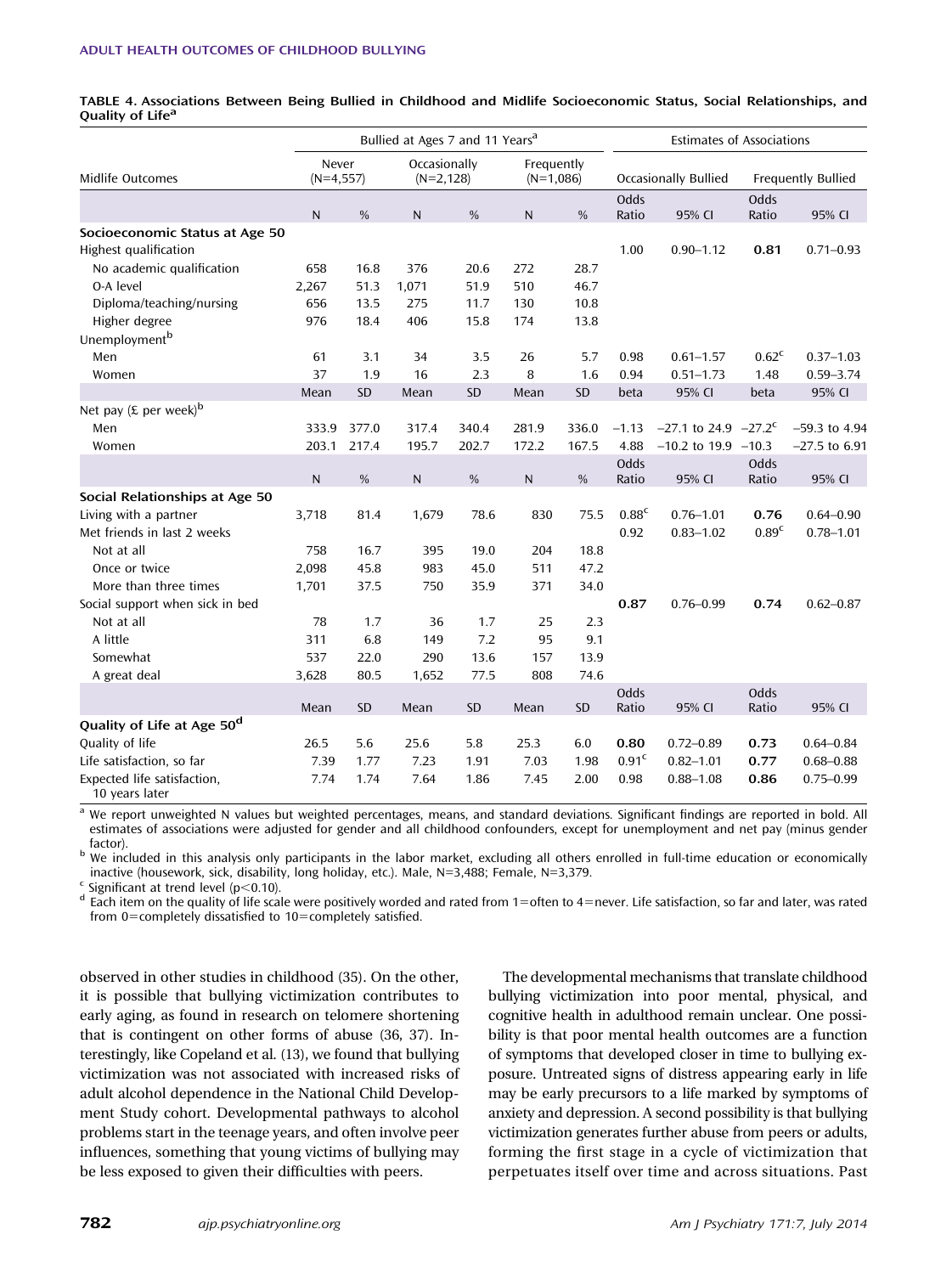|                                        | Bullied at Ages 7 and 11 Years <sup>a</sup> |               |                              |       |                           |               | <b>Estimates of Associations</b> |                           |                           |                 |
|----------------------------------------|---------------------------------------------|---------------|------------------------------|-------|---------------------------|---------------|----------------------------------|---------------------------|---------------------------|-----------------|
| Midlife Outcomes                       | Never<br>$(N=4,557)$                        |               | Occasionally<br>$(N=2, 128)$ |       | Frequently<br>$(N=1,086)$ |               | Occasionally Bullied             |                           | <b>Frequently Bullied</b> |                 |
|                                        | $\mathsf{N}$                                | $\frac{0}{0}$ | N.                           | $\%$  | N                         | $\frac{0}{0}$ | Odds<br>Ratio                    | 95% CI                    | Odds<br>Ratio             | 95% CI          |
| Socioeconomic Status at Age 50         |                                             |               |                              |       |                           |               |                                  |                           |                           |                 |
| Highest qualification                  |                                             |               |                              |       |                           |               | 1.00                             | $0.90 - 1.12$             | 0.81                      | $0.71 - 0.93$   |
| No academic qualification              | 658                                         | 16.8          | 376                          | 20.6  | 272                       | 28.7          |                                  |                           |                           |                 |
| O-A level                              | 2,267                                       | 51.3          | 1,071                        | 51.9  | 510                       | 46.7          |                                  |                           |                           |                 |
| Diploma/teaching/nursing               | 656                                         | 13.5          | 275                          | 11.7  | 130                       | 10.8          |                                  |                           |                           |                 |
| Higher degree                          | 976                                         | 18.4          | 406                          | 15.8  | 174                       | 13.8          |                                  |                           |                           |                 |
| Unemployment <sup>b</sup>              |                                             |               |                              |       |                           |               |                                  |                           |                           |                 |
| Men                                    | 61                                          | 3.1           | 34                           | 3.5   | 26                        | 5.7           | 0.98                             | $0.61 - 1.57$             | 0.62 <sup>c</sup>         | $0.37 - 1.03$   |
| Women                                  | 37                                          | 1.9           | 16                           | 2.3   | 8                         | 1.6           | 0.94                             | $0.51 - 1.73$             | 1.48                      | $0.59 - 3.74$   |
|                                        | Mean                                        | <b>SD</b>     | Mean                         | SD    | Mean                      | <b>SD</b>     | beta                             | 95% CI                    | beta                      | 95% CI          |
| Net pay (£ per week) <sup>b</sup>      |                                             |               |                              |       |                           |               |                                  |                           |                           |                 |
| Men                                    | 333.9                                       | 377.0         | 317.4                        | 340.4 | 281.9                     | 336.0         | $-1.13$                          | $-27.1$ to 24.9 $-27.2^c$ |                           | $-59.3$ to 4.94 |
| Women                                  | 203.1                                       | 217.4         | 195.7                        | 202.7 | 172.2                     | 167.5         | 4.88                             | $-10.2$ to 19.9 $-10.3$   |                           | $-27.5$ to 6.91 |
|                                        | $\overline{N}$                              | $\%$          | ${\sf N}$                    | $\%$  | $\mathsf{N}$              | $\%$          | Odds<br>Ratio                    | 95% CI                    | Odds<br>Ratio             | 95% CI          |
| Social Relationships at Age 50         |                                             |               |                              |       |                           |               |                                  |                           |                           |                 |
| Living with a partner                  | 3,718                                       | 81.4          | 1,679                        | 78.6  | 830                       | 75.5          | 0.88 <sup>c</sup>                | $0.76 - 1.01$             | 0.76                      | $0.64 - 0.90$   |
| Met friends in last 2 weeks            |                                             |               |                              |       |                           |               | 0.92                             | $0.83 - 1.02$             | 0.89 <sup>c</sup>         | $0.78 - 1.01$   |
| Not at all                             | 758                                         | 16.7          | 395                          | 19.0  | 204                       | 18.8          |                                  |                           |                           |                 |
| Once or twice                          | 2,098                                       | 45.8          | 983                          | 45.0  | 511                       | 47.2          |                                  |                           |                           |                 |
| More than three times                  | 1,701                                       | 37.5          | 750                          | 35.9  | 371                       | 34.0          |                                  |                           |                           |                 |
| Social support when sick in bed        |                                             |               |                              |       |                           |               | 0.87                             | $0.76 - 0.99$             | 0.74                      | $0.62 - 0.87$   |
| Not at all                             | 78                                          | 1.7           | 36                           | 1.7   | 25                        | 2.3           |                                  |                           |                           |                 |
| A little                               | 311                                         | 6.8           | 149                          | 7.2   | 95                        | 9.1           |                                  |                           |                           |                 |
| Somewhat                               | 537                                         | 22.0          | 290                          | 13.6  | 157                       | 13.9          |                                  |                           |                           |                 |
| A great deal                           | 3,628                                       | 80.5          | 1,652                        | 77.5  | 808                       | 74.6          |                                  |                           |                           |                 |
|                                        | Mean                                        | SD            | Mean                         | SD    | Mean                      | SD            | Odds<br>Ratio                    | 95% CI                    | Odds<br>Ratio             | 95% CI          |
| Quality of Life at Age 50 <sup>d</sup> |                                             |               |                              |       |                           |               |                                  |                           |                           |                 |
| Quality of life                        | 26.5                                        | 5.6           | 25.6                         | 5.8   | 25.3                      | 6.0           | 0.80                             | $0.72 - 0.89$             | 0.73                      | $0.64 - 0.84$   |
| Life satisfaction, so far              | 7.39                                        | 1.77          | 7.23                         | 1.91  | 7.03                      | 1.98          | 0.91 <sup>c</sup>                | $0.82 - 1.01$             | 0.77                      | $0.68 - 0.88$   |
| Expected life satisfaction,            | 7.74                                        | 1.74          | 7.64                         | 1.86  | 7.45                      | 2.00          | 0.98                             | $0.88 - 1.08$             | 0.86                      | $0.75 - 0.99$   |
| 10 years later                         |                                             |               |                              |       |                           |               |                                  |                           |                           |                 |

TABLE 4. Associations Between Being Bullied in Childhood and Midlife Socioeconomic Status, Social Relationships, and Quality of Life<sup>a</sup>

a We report unweighted N values but weighted percentages, means, and standard deviations. Significant findings are reported in bold. All estimates of associations were adjusted for gender and all childhood confounders, except for unemployment and net pay (minus gender

factor).<br><sup>b</sup> We included in this analysis only participants in the labor market, excluding all others enrolled in full-time education or economically inactive (housework, sick, disability, long holiday, etc.). Male, N=3,488; Female, N=3,379.<br><sup>c</sup> Significant at trend level (p<0.10).<br><sup>d</sup> Each item on the quality of life scale were positively worded and rated from 1=often

from  $0=$ completely dissatisfied to  $10=$ completely satisfied.

observed in other studies in childhood (35). On the other, it is possible that bullying victimization contributes to early aging, as found in research on telomere shortening that is contingent on other forms of abuse (36, 37). Interestingly, like Copeland et al. (13), we found that bullying victimization was not associated with increased risks of adult alcohol dependence in the National Child Development Study cohort. Developmental pathways to alcohol problems start in the teenage years, and often involve peer influences, something that young victims of bullying may be less exposed to given their difficulties with peers.

The developmental mechanisms that translate childhood bullying victimization into poor mental, physical, and cognitive health in adulthood remain unclear. One possibility is that poor mental health outcomes are a function of symptoms that developed closer in time to bullying exposure. Untreated signs of distress appearing early in life may be early precursors to a life marked by symptoms of anxiety and depression. A second possibility is that bullying victimization generates further abuse from peers or adults, forming the first stage in a cycle of victimization that perpetuates itself over time and across situations. Past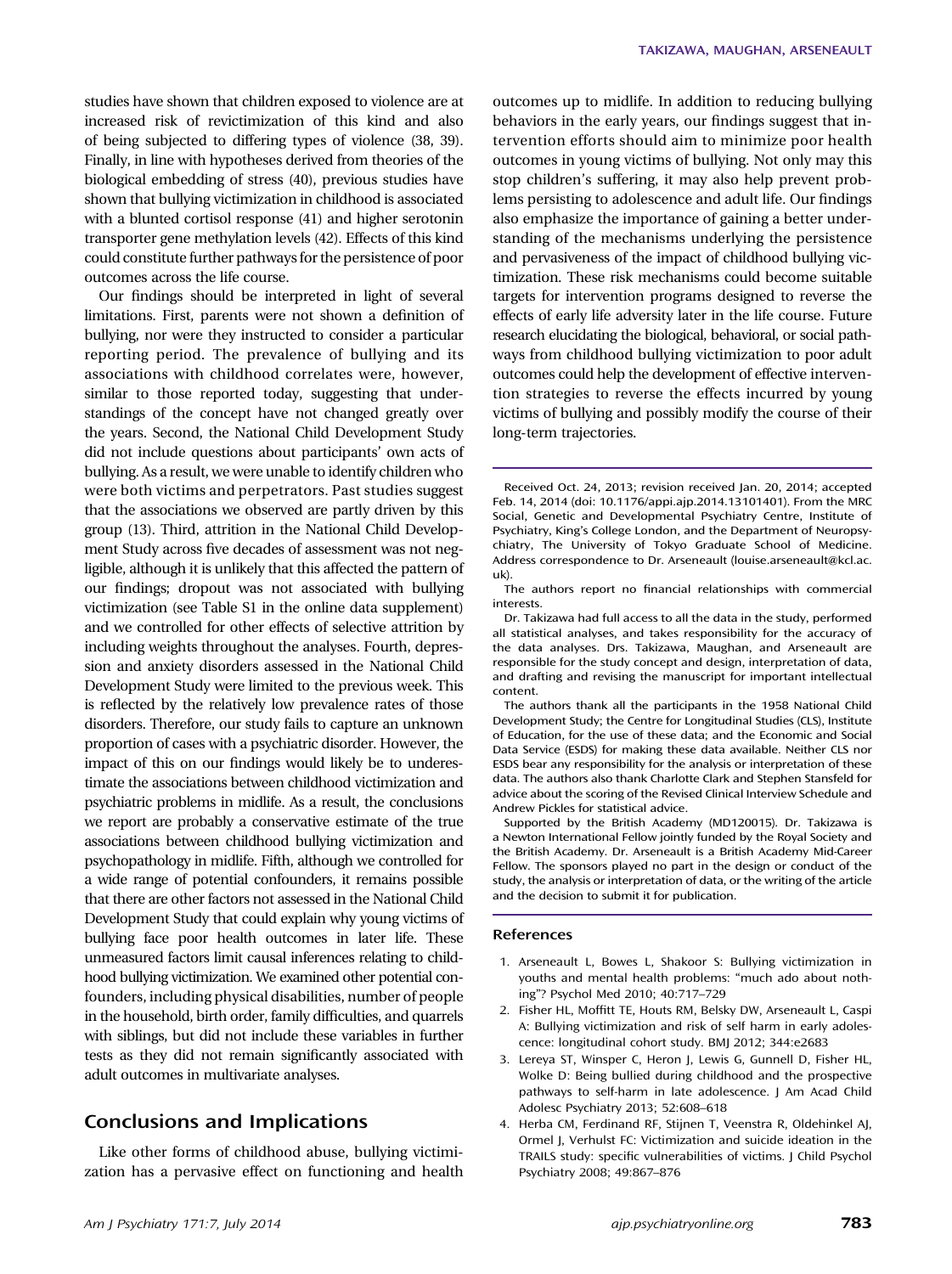studies have shown that children exposed to violence are at increased risk of revictimization of this kind and also of being subjected to differing types of violence (38, 39). Finally, in line with hypotheses derived from theories of the biological embedding of stress (40), previous studies have shown that bullying victimization in childhood is associated with a blunted cortisol response (41) and higher serotonin transporter gene methylation levels (42). Effects of this kind could constitute further pathways for the persistence of poor outcomes across the life course.

Our findings should be interpreted in light of several limitations. First, parents were not shown a definition of bullying, nor were they instructed to consider a particular reporting period. The prevalence of bullying and its associations with childhood correlates were, however, similar to those reported today, suggesting that understandings of the concept have not changed greatly over the years. Second, the National Child Development Study did not include questions about participants' own acts of bullying. As a result, we were unable to identify children who were both victims and perpetrators. Past studies suggest that the associations we observed are partly driven by this group (13). Third, attrition in the National Child Development Study across five decades of assessment was not negligible, although it is unlikely that this affected the pattern of our findings; dropout was not associated with bullying victimization (see Table S1 in the online data supplement) and we controlled for other effects of selective attrition by including weights throughout the analyses. Fourth, depression and anxiety disorders assessed in the National Child Development Study were limited to the previous week. This is reflected by the relatively low prevalence rates of those disorders. Therefore, our study fails to capture an unknown proportion of cases with a psychiatric disorder. However, the impact of this on our findings would likely be to underestimate the associations between childhood victimization and psychiatric problems in midlife. As a result, the conclusions we report are probably a conservative estimate of the true associations between childhood bullying victimization and psychopathology in midlife. Fifth, although we controlled for a wide range of potential confounders, it remains possible that there are other factors not assessed in the National Child Development Study that could explain why young victims of bullying face poor health outcomes in later life. These unmeasured factors limit causal inferences relating to childhood bullying victimization. We examined other potential confounders, including physical disabilities, number of people in the household, birth order, family difficulties, and quarrels with siblings, but did not include these variables in further tests as they did not remain significantly associated with adult outcomes in multivariate analyses.

# Conclusions and Implications

Like other forms of childhood abuse, bullying victimization has a pervasive effect on functioning and health outcomes up to midlife. In addition to reducing bullying behaviors in the early years, our findings suggest that intervention efforts should aim to minimize poor health outcomes in young victims of bullying. Not only may this stop children's suffering, it may also help prevent problems persisting to adolescence and adult life. Our findings also emphasize the importance of gaining a better understanding of the mechanisms underlying the persistence and pervasiveness of the impact of childhood bullying victimization. These risk mechanisms could become suitable targets for intervention programs designed to reverse the effects of early life adversity later in the life course. Future research elucidating the biological, behavioral, or social pathways from childhood bullying victimization to poor adult outcomes could help the development of effective intervention strategies to reverse the effects incurred by young victims of bullying and possibly modify the course of their long-term trajectories.

The authors report no financial relationships with commercial interests.

The authors thank all the participants in the 1958 National Child Development Study; the Centre for Longitudinal Studies (CLS), Institute of Education, for the use of these data; and the Economic and Social Data Service (ESDS) for making these data available. Neither CLS nor ESDS bear any responsibility for the analysis or interpretation of these data. The authors also thank Charlotte Clark and Stephen Stansfeld for advice about the scoring of the Revised Clinical Interview Schedule and Andrew Pickles for statistical advice.

Supported by the British Academy (MD120015). Dr. Takizawa is a Newton International Fellow jointly funded by the Royal Society and the British Academy. Dr. Arseneault is a British Academy Mid-Career Fellow. The sponsors played no part in the design or conduct of the study, the analysis or interpretation of data, or the writing of the article and the decision to submit it for publication.

#### References

- 1. Arseneault L, Bowes L, Shakoor S: Bullying victimization in youths and mental health problems: "much ado about nothing"? Psychol Med 2010; 40:717–729
- 2. Fisher HL, Moffitt TE, Houts RM, Belsky DW, Arseneault L, Caspi A: Bullying victimization and risk of self harm in early adolescence: longitudinal cohort study. BMJ 2012; 344:e2683
- 3. Lereya ST, Winsper C, Heron J, Lewis G, Gunnell D, Fisher HL, Wolke D: Being bullied during childhood and the prospective pathways to self-harm in late adolescence. J Am Acad Child Adolesc Psychiatry 2013; 52:608–618
- 4. Herba CM, Ferdinand RF, Stijnen T, Veenstra R, Oldehinkel AJ, Ormel J, Verhulst FC: Victimization and suicide ideation in the TRAILS study: specific vulnerabilities of victims. J Child Psychol Psychiatry 2008; 49:867–876

Received Oct. 24, 2013; revision received Jan. 20, 2014; accepted Feb. 14, 2014 (doi: 10.1176/appi.ajp.2014.13101401). From the MRC Social, Genetic and Developmental Psychiatry Centre, Institute of Psychiatry, King's College London, and the Department of Neuropsychiatry, The University of Tokyo Graduate School of Medicine. Address correspondence to Dr. Arseneault [\(louise.arseneault@kcl.ac.](mailto:louise.arseneault@kcl.ac.uk) [uk](mailto:louise.arseneault@kcl.ac.uk)).

Dr. Takizawa had full access to all the data in the study, performed all statistical analyses, and takes responsibility for the accuracy of the data analyses. Drs. Takizawa, Maughan, and Arseneault are responsible for the study concept and design, interpretation of data, and drafting and revising the manuscript for important intellectual content.